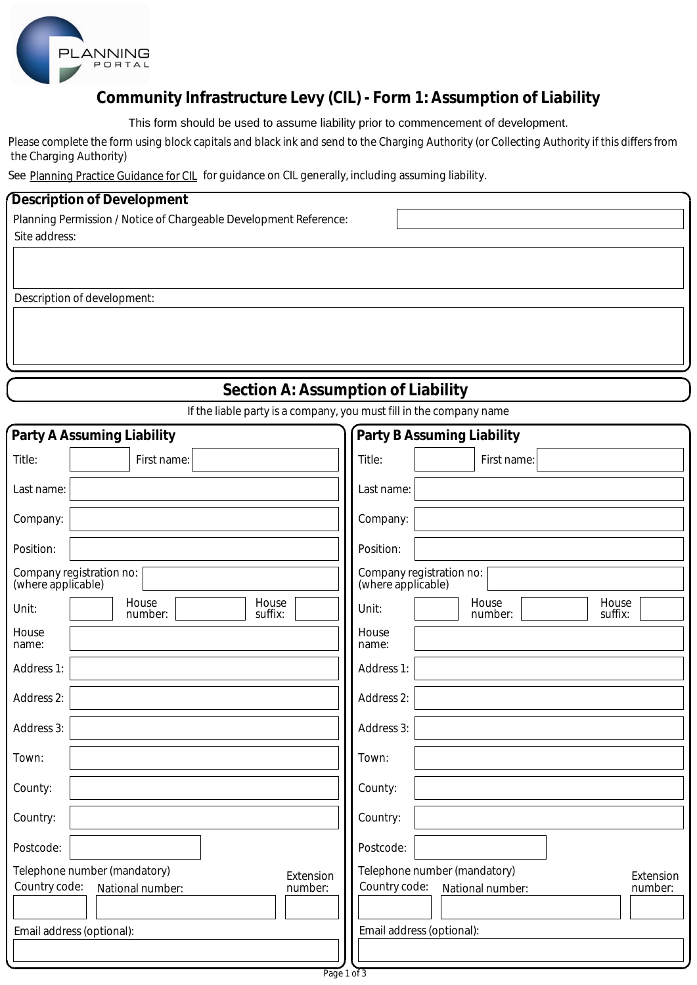

## **Community Infrastructure Levy (CIL) - Form 1: Assumption of Liability**

This form should be used to assume liability prior to commencement of development.

Please complete the form using block capitals and black ink and send to the Charging Authority (or Collecting Authority if this differs from the Charging Authority)

See <u>Planning Practice Guidance for CIL</u> for guidance on CIL generally, including assuming liability. Planning Practice Guidance for CIL

| See Planning Practice Guidance for CIL for guidance on CIL generally, including assuming liability. |                                                                     |  |  |  |  |
|-----------------------------------------------------------------------------------------------------|---------------------------------------------------------------------|--|--|--|--|
| <b>Description of Development</b>                                                                   |                                                                     |  |  |  |  |
| Planning Permission / Notice of Chargeable Development Reference:                                   |                                                                     |  |  |  |  |
| Site address:                                                                                       |                                                                     |  |  |  |  |
|                                                                                                     |                                                                     |  |  |  |  |
|                                                                                                     |                                                                     |  |  |  |  |
| Description of development:                                                                         |                                                                     |  |  |  |  |
|                                                                                                     |                                                                     |  |  |  |  |
|                                                                                                     |                                                                     |  |  |  |  |
|                                                                                                     |                                                                     |  |  |  |  |
|                                                                                                     | <b>Section A: Assumption of Liability</b>                           |  |  |  |  |
|                                                                                                     | If the liable party is a company, you must fill in the company name |  |  |  |  |
| Party A Assuming Liability<br><b>Party B Assuming Liability</b>                                     |                                                                     |  |  |  |  |
| Title:<br>First name:                                                                               | Title:<br>First name:                                               |  |  |  |  |
| Last name:                                                                                          | Last name:                                                          |  |  |  |  |
| Company:                                                                                            | Company:                                                            |  |  |  |  |
| Position:                                                                                           | Position:                                                           |  |  |  |  |
| Company registration no:<br>(where applicable)                                                      | Company registration no:<br>(where applicable)                      |  |  |  |  |
| House<br>House<br>Unit:<br>suffix:<br>number:                                                       | House<br>House<br>Unit:<br>suffix:<br>number:                       |  |  |  |  |
| House<br>name:                                                                                      | House<br>name:                                                      |  |  |  |  |
| Address 1:                                                                                          | Address 1:                                                          |  |  |  |  |
| Address 2:                                                                                          | Address 2:                                                          |  |  |  |  |
| Address 3:                                                                                          | Address 3:                                                          |  |  |  |  |
| Town:                                                                                               | Town:                                                               |  |  |  |  |
| County:                                                                                             | County:                                                             |  |  |  |  |
| Country:                                                                                            | Country:                                                            |  |  |  |  |
| Postcode:                                                                                           | Postcode:                                                           |  |  |  |  |
| Telephone number (mandatory)<br>Extension                                                           | Telephone number (mandatory)<br>Extension                           |  |  |  |  |
| Country code:<br>number:<br>National number:                                                        | Country code:<br>number:<br>National number:                        |  |  |  |  |
|                                                                                                     |                                                                     |  |  |  |  |
| Email address (optional):                                                                           | Email address (optional):                                           |  |  |  |  |
|                                                                                                     |                                                                     |  |  |  |  |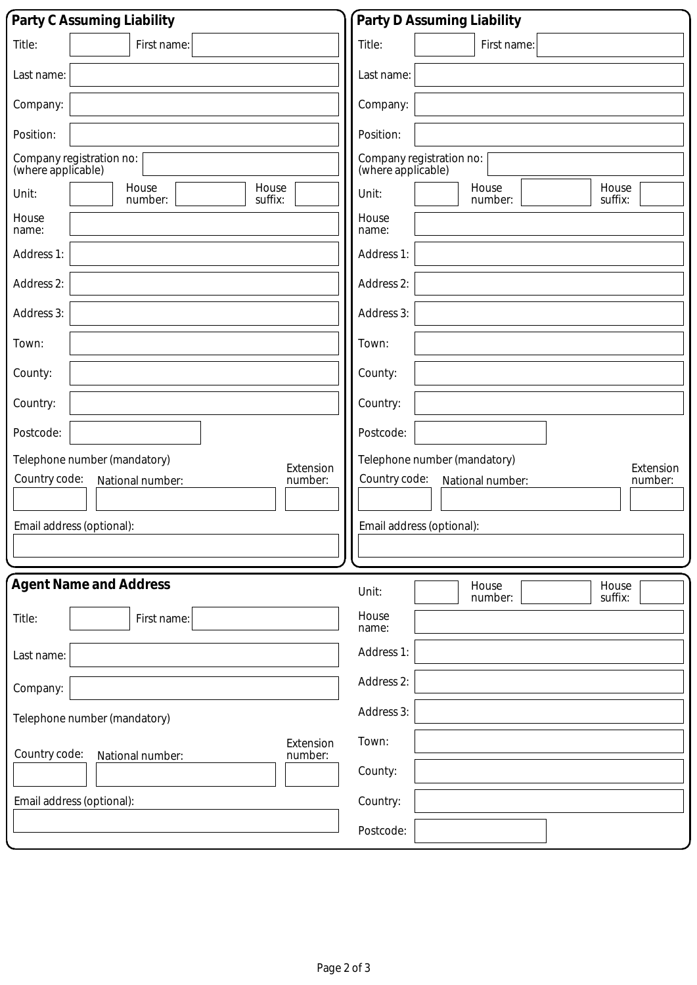| Party C Assuming Liability                                                                | Party D Assuming Liability                                                                |
|-------------------------------------------------------------------------------------------|-------------------------------------------------------------------------------------------|
| Title:<br>First name:                                                                     | Title:<br>First name:                                                                     |
| Last name:                                                                                | Last name:                                                                                |
| Company:                                                                                  | Company:                                                                                  |
| Position:                                                                                 | Position:                                                                                 |
| Company registration no:<br>(where applicable)                                            | Company registration no:<br>(where applicable)                                            |
| House<br>House<br>Unit:<br>suffix:<br>number:                                             | House<br>House<br>Unit:<br>suffix:<br>number:                                             |
| House<br>name:                                                                            | House<br>name:                                                                            |
| Address 1:                                                                                | Address 1:                                                                                |
| Address 2:                                                                                | Address 2:                                                                                |
| Address 3:                                                                                | Address 3:                                                                                |
| Town:                                                                                     | Town:                                                                                     |
| County:                                                                                   | County:                                                                                   |
| Country:                                                                                  | Country:                                                                                  |
| Postcode:                                                                                 | Postcode:                                                                                 |
| Telephone number (mandatory)<br>Extension<br>Country code:<br>number:<br>National number: | Telephone number (mandatory)<br>Extension<br>Country code:<br>number:<br>National number: |
| Email address (optional):                                                                 | Email address (optional):                                                                 |
|                                                                                           |                                                                                           |
|                                                                                           |                                                                                           |
| <b>Agent Name and Address</b>                                                             | House<br>House<br>Unit:<br>suffix:<br>number:                                             |
| Title:<br>First name:                                                                     | House<br>name:                                                                            |
| Last name:                                                                                | Address 1:                                                                                |
| Company:                                                                                  | Address 2:                                                                                |
| Telephone number (mandatory)                                                              | Address 3:                                                                                |
| Extension<br>Country code:<br>number:<br>National number:                                 | Town:                                                                                     |
|                                                                                           | County:                                                                                   |
| Email address (optional):                                                                 | Country:                                                                                  |
|                                                                                           | Postcode:                                                                                 |